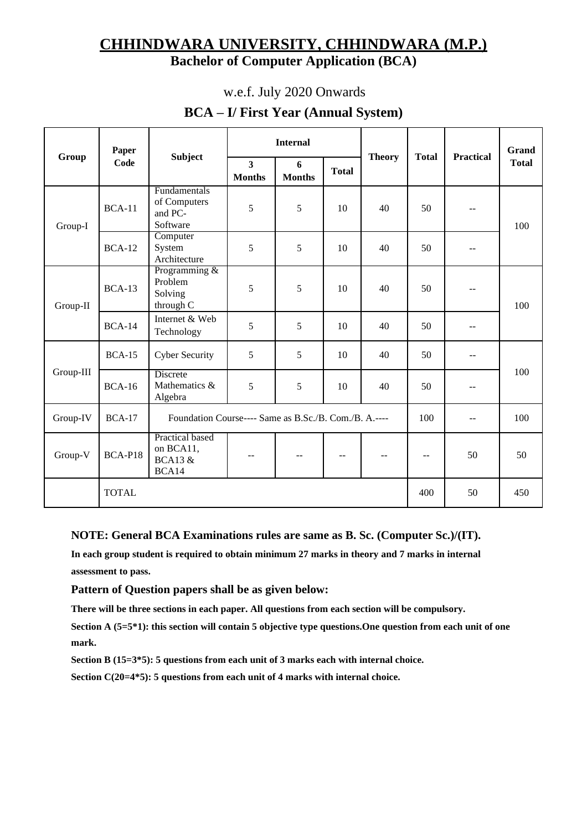# **CHHINDWARA UNIVERSITY, CHHINDWARA (M.P.) Bachelor of Computer Application (BCA)**

## w.e.f. July 2020 Onwards

## **BCA – I/ First Year (Annual System)**

| Group     | Paper<br>Code | <b>Subject</b>                                              |                                 | <b>Internal</b>    |                   | <b>Theory</b> | <b>Total</b> | <b>Practical</b> | Grand<br><b>Total</b> |
|-----------|---------------|-------------------------------------------------------------|---------------------------------|--------------------|-------------------|---------------|--------------|------------------|-----------------------|
|           |               |                                                             | $\overline{3}$<br><b>Months</b> | 6<br><b>Months</b> | <b>Total</b>      |               |              |                  |                       |
| Group-I   | <b>BCA-11</b> | Fundamentals<br>of Computers<br>and PC-<br>Software         | 5                               | 5                  | 10                | 40            | 50           | --               | 100                   |
|           | $BCA-12$      | Computer<br>System<br>Architecture                          | 5                               | 5                  | 10                | 40            | 50           | --               |                       |
| Group-II  | <b>BCA-13</b> | Programming &<br>Problem<br>Solving<br>through C            | 5                               | 5                  | 10                | 40            | 50           | --               | 100                   |
|           | <b>BCA-14</b> | Internet & Web<br>Technology                                | 5                               | 5                  | 10                | 40            | 50           |                  |                       |
| Group-III | <b>BCA-15</b> | <b>Cyber Security</b>                                       | 5                               | 5                  | 10                | 40            | 50           | --               | 100                   |
|           | <b>BCA-16</b> | Discrete<br>Mathematics &<br>Algebra                        | 5                               | 5                  | 10                | 40            | 50           |                  |                       |
| Group-IV  | $BCA-17$      | Foundation Course---- Same as B.Sc./B. Com./B. A.----       |                                 |                    |                   |               |              | --               | 100                   |
| Group-V   | BCA-P18       | Practical based<br>on BCA11,<br><b>BCA13 &amp;</b><br>BCA14 | --                              |                    | $\qquad \qquad -$ | $- -$         | --           | 50               | 50                    |
|           | <b>TOTAL</b>  |                                                             |                                 |                    |                   |               | 400          | 50               | 450                   |

## **NOTE: General BCA Examinations rules are same as B. Sc. (Computer Sc.)/(IT).**

**In each group student is required to obtain minimum 27 marks in theory and 7 marks in internal assessment to pass.**

#### **Pattern of Question papers shall be as given below:**

**There will be three sections in each paper. All questions from each section will be compulsory.**

**Section A (5=5\*1): this section will contain 5 objective type questions.One question from each unit of one mark.**

**Section B (15=3\*5): 5 questions from each unit of 3 marks each with internal choice.** 

**Section C(20=4\*5): 5 questions from each unit of 4 marks with internal choice.**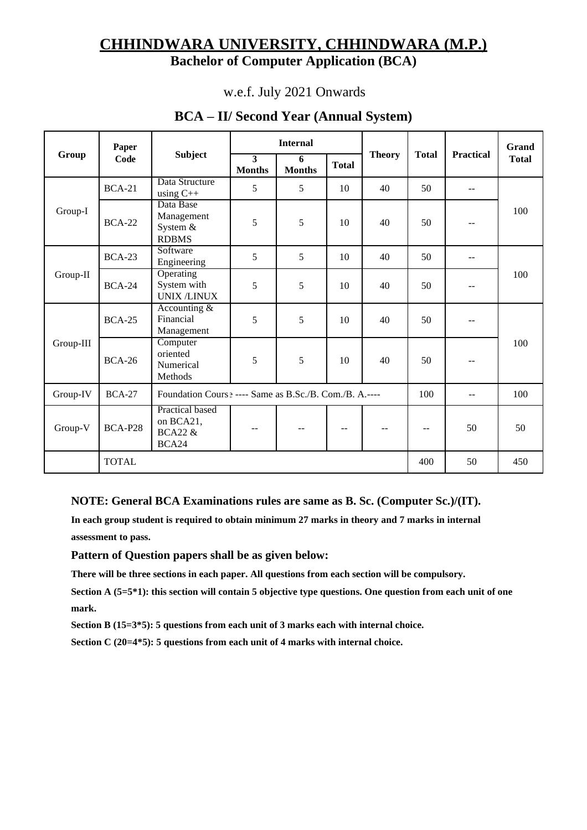# **CHHINDWARA UNIVERSITY, CHHINDWARA (M.P.) Bachelor of Computer Application (BCA)**

## w.e.f. July 2021 Onwards

| Group     | Paper<br>Code  | <b>Subject</b>                                              | <b>Internal</b>                 |                    |              |               |                          |                  | Grand        |
|-----------|----------------|-------------------------------------------------------------|---------------------------------|--------------------|--------------|---------------|--------------------------|------------------|--------------|
|           |                |                                                             | $\overline{3}$<br><b>Months</b> | 6<br><b>Months</b> | <b>Total</b> | <b>Theory</b> | <b>Total</b>             | <b>Practical</b> | <b>Total</b> |
| Group-I   | <b>BCA-21</b>  | Data Structure<br>using $C++$                               | 5                               | 5                  | 10           | 40            | 50                       |                  | 100          |
|           | <b>BCA-22</b>  | Data Base<br>Management<br>System &<br><b>RDBMS</b>         | 5                               | 5                  | 10           | 40            | 50                       |                  |              |
| Group-II  | <b>BCA-23</b>  | Software<br>Engineering                                     | 5                               | 5                  | 10           | 40            | 50                       | $-$              | 100          |
|           | <b>BCA-24</b>  | Operating<br>System with<br><b>UNIX /LINUX</b>              | 5                               | 5                  | 10           | 40            | 50                       |                  |              |
| Group-III | $BCA-25$       | Accounting $&$<br>Financial<br>Management                   | 5                               | 5                  | 10           | 40            | 50                       |                  | 100          |
|           | <b>BCA-26</b>  | Computer<br>oriented<br>Numerical<br>Methods                | 5                               | 5                  | 10           | 40            | 50                       |                  |              |
| Group-IV  | <b>BCA-27</b>  | Foundation Cours .---- Same as B.Sc./B. Com./B. A.----      |                                 |                    |              |               |                          | $-$              | 100          |
| Group-V   | <b>BCA-P28</b> | Practical based<br>on BCA21,<br><b>BCA22 &amp;</b><br>BCA24 | $-$                             | --                 | $-$          | $-$           | $\overline{\phantom{m}}$ | 50               | 50           |
|           | <b>TOTAL</b>   |                                                             |                                 |                    |              |               | 400                      | 50               | 450          |

## **BCA – II/ Second Year (Annual System)**

## **NOTE: General BCA Examinations rules are same as B. Sc. (Computer Sc.)/(IT).**

**In each group student is required to obtain minimum 27 marks in theory and 7 marks in internal assessment to pass.**

#### **Pattern of Question papers shall be as given below:**

**There will be three sections in each paper. All questions from each section will be compulsory.**

**Section A (5=5\*1): this section will contain 5 objective type questions. One question from each unit of one mark.**

**Section B (15=3\*5): 5 questions from each unit of 3 marks each with internal choice.** 

**Section C (20=4\*5): 5 questions from each unit of 4 marks with internal choice.**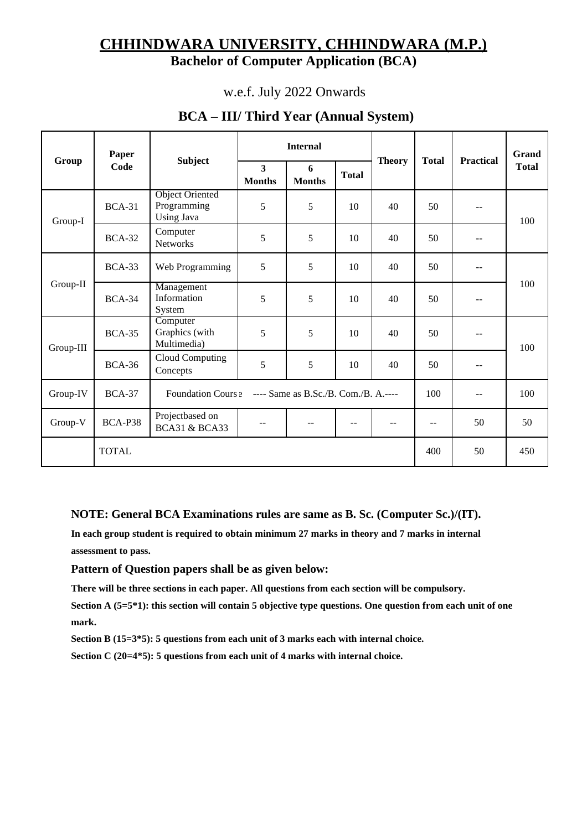# **CHHINDWARA UNIVERSITY, CHHINDWARA (M.P.) Bachelor of Computer Application (BCA)**

## w.e.f. July 2022 Onwards

| Group     | Paper<br>Code | <b>Subject</b>                                             |                                          | <b>Internal</b>                      |              | <b>Theory</b> | <b>Total</b> | <b>Practical</b>         | Grand<br><b>Total</b> |
|-----------|---------------|------------------------------------------------------------|------------------------------------------|--------------------------------------|--------------|---------------|--------------|--------------------------|-----------------------|
|           |               |                                                            | $\overline{\mathbf{3}}$<br><b>Months</b> | 6<br><b>Months</b>                   | <b>Total</b> |               |              |                          |                       |
| Group-I   | <b>BCA-31</b> | <b>Object Oriented</b><br>Programming<br><b>Using Java</b> | 5                                        | 5                                    | 10           | 40            | 50           | $\qquad \qquad -$        | 100                   |
|           | <b>BCA-32</b> | Computer<br><b>Networks</b>                                | 5                                        | 5                                    | 10           | 40            | 50           | $-$                      |                       |
| Group-II  | $BCA-33$      | Web Programming                                            | 5                                        | 5                                    | 10           | 40            | 50           | $\overline{\phantom{a}}$ | 100                   |
|           | <b>BCA-34</b> | Management<br>Information<br>System                        | 5                                        | 5                                    | 10           | 40            | 50           | $-$                      |                       |
| Group-III | <b>BCA-35</b> | Computer<br>Graphics (with<br>Multimedia)                  | 5                                        | 5                                    | 10           | 40            | 50           | $\mathbf{u}$             | 100                   |
|           | <b>BCA-36</b> | Cloud Computing<br>Concepts                                | 5                                        | 5                                    | 10           | 40            | 50           | $-$                      |                       |
| Group-IV  | <b>BCA-37</b> | Foundation Cours ?                                         |                                          | ---- Same as B.Sc./B. Com./B. A.---- |              |               | 100          | $-$                      | 100                   |
| Group-V   | BCA-P38       | Projectbased on<br><b>BCA31 &amp; BCA33</b>                |                                          |                                      | $-$          |               | $-$          | 50                       | 50                    |
|           | <b>TOTAL</b>  |                                                            |                                          |                                      |              |               | 400          | 50                       | 450                   |

# **BCA – III/ Third Year (Annual System)**

**NOTE: General BCA Examinations rules are same as B. Sc. (Computer Sc.)/(IT).** 

**In each group student is required to obtain minimum 27 marks in theory and 7 marks in internal assessment to pass.**

**Pattern of Question papers shall be as given below:**

**There will be three sections in each paper. All questions from each section will be compulsory.**

**Section A (5=5\*1): this section will contain 5 objective type questions. One question from each unit of one mark.**

**Section B (15=3\*5): 5 questions from each unit of 3 marks each with internal choice.** 

**Section C (20=4\*5): 5 questions from each unit of 4 marks with internal choice.**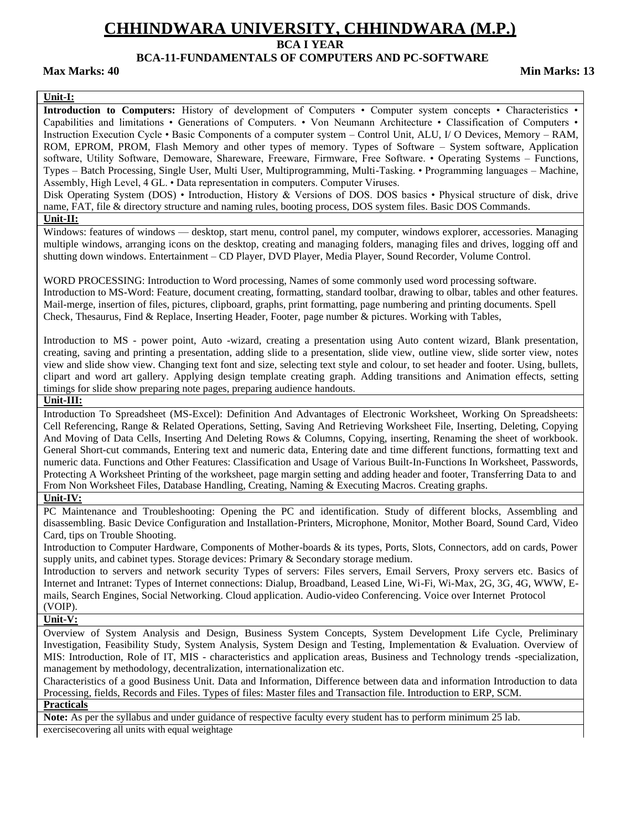## **BCA I YEAR**

#### **BCA-11-FUNDAMENTALS OF COMPUTERS AND PC-SOFTWARE**

**Max Marks: 40 Min Marks: 13**

#### **Unit-I:**

**Introduction to Computers:** History of development of Computers • Computer system concepts • Characteristics • Capabilities and limitations • Generations of Computers. • Von Neumann Architecture • Classification of Computers • Instruction Execution Cycle • Basic Components of a computer system – Control Unit, ALU, I/ O Devices, Memory – RAM, ROM, EPROM, PROM, Flash Memory and other types of memory. Types of Software – System software, Application software, Utility Software, Demoware, Shareware, Freeware, Firmware, Free Software. • Operating Systems – Functions, Types – Batch Processing, Single User, Multi User, Multiprogramming, Multi-Tasking. • Programming languages – Machine, Assembly, High Level, 4 GL. • Data representation in computers. Computer Viruses.

Disk Operating System (DOS) • Introduction, History & Versions of DOS. DOS basics • Physical structure of disk, drive name, FAT, file & directory structure and naming rules, booting process, DOS system files. Basic DOS Commands.

**Unit-II:**

Windows: features of windows — desktop, start menu, control panel, my computer, windows explorer, accessories. Managing multiple windows, arranging icons on the desktop, creating and managing folders, managing files and drives, logging off and shutting down windows. Entertainment – CD Player, DVD Player, Media Player, Sound Recorder, Volume Control.

WORD PROCESSING: Introduction to Word processing, Names of some commonly used word processing software. Introduction to MS-Word: Feature, document creating, formatting, standard toolbar, drawing to olbar, tables and other features. Mail-merge, insertion of files, pictures, clipboard, graphs, print formatting, page numbering and printing documents. Spell Check, Thesaurus, Find & Replace, Inserting Header, Footer, page number & pictures. Working with Tables,

Introduction to MS - power point, Auto -wizard, creating a presentation using Auto content wizard, Blank presentation, creating, saving and printing a presentation, adding slide to a presentation, slide view, outline view, slide sorter view, notes view and slide show view. Changing text font and size, selecting text style and colour, to set header and footer. Using, bullets, clipart and word art gallery. Applying design template creating graph. Adding transitions and Animation effects, setting timings for slide show preparing note pages, preparing audience handouts.

#### **Unit-III:**

Introduction To Spreadsheet (MS-Excel): Definition And Advantages of Electronic Worksheet, Working On Spreadsheets: Cell Referencing, Range & Related Operations, Setting, Saving And Retrieving Worksheet File, Inserting, Deleting, Copying And Moving of Data Cells, Inserting And Deleting Rows & Columns, Copying, inserting, Renaming the sheet of workbook. General Short-cut commands, Entering text and numeric data, Entering date and time different functions, formatting text and numeric data. Functions and Other Features: Classification and Usage of Various Built-In-Functions In Worksheet, Passwords, Protecting A Worksheet Printing of the worksheet, page margin setting and adding header and footer, Transferring Data to and From Non Worksheet Files, Database Handling, Creating, Naming & Executing Macros. Creating graphs.

#### **Unit-IV:**

PC Maintenance and Troubleshooting: Opening the PC and identification. Study of different blocks, Assembling and disassembling. Basic Device Configuration and Installation-Printers, Microphone, Monitor, Mother Board, Sound Card, Video Card, tips on Trouble Shooting.

Introduction to Computer Hardware, Components of Mother-boards & its types, Ports, Slots, Connectors, add on cards, Power supply units, and cabinet types. Storage devices: Primary & Secondary storage medium.

Introduction to servers and network security Types of servers: Files servers, Email Servers, Proxy servers etc. Basics of Internet and Intranet: Types of Internet connections: Dialup, Broadband, Leased Line, Wi-Fi, Wi-Max, 2G, 3G, 4G, WWW, Emails, Search Engines, Social Networking. Cloud application. Audio-video Conferencing. Voice over Internet Protocol (VOIP).

**Unit-V:**

Overview of System Analysis and Design, Business System Concepts, System Development Life Cycle, Preliminary Investigation, Feasibility Study, System Analysis, System Design and Testing, Implementation & Evaluation. Overview of MIS: Introduction, Role of IT, MIS - characteristics and application areas, Business and Technology trends -specialization, management by methodology, decentralization, internationalization etc.

Characteristics of a good Business Unit. Data and Information, Difference between data and information Introduction to data Processing, fields, Records and Files. Types of files: Master files and Transaction file. Introduction to ERP, SCM. **Practicals**

**Note:** As per the syllabus and under guidance of respective faculty every student has to perform minimum 25 lab.

exercisecovering all units with equal weightage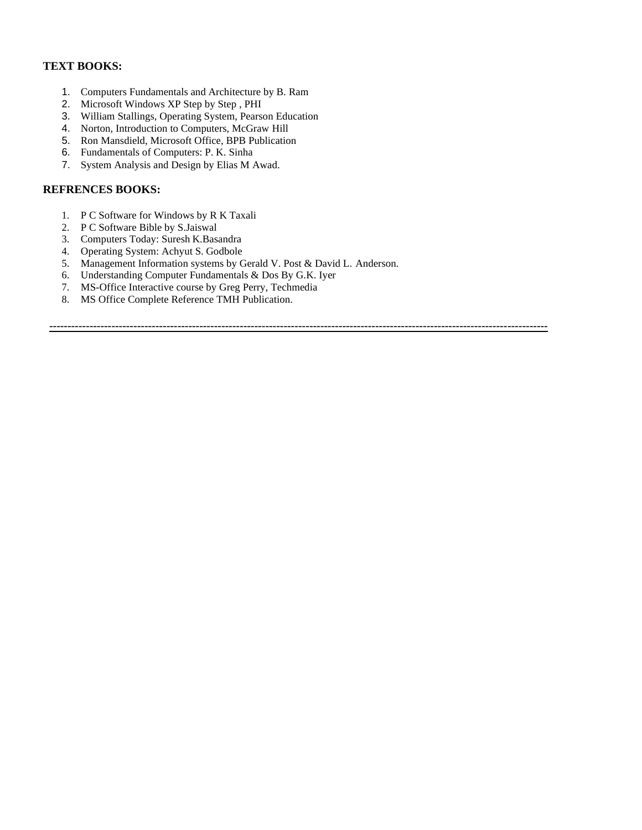## **TEXT BOOKS:**

- 1. Computers Fundamentals and Architecture by B. Ram
- 2. Microsoft Windows XP Step by Step , PHI
- 3. William Stallings, Operating System, Pearson Education
- 4. Norton, Introduction to Computers, McGraw Hill
- 5. Ron Mansdield, Microsoft Office, BPB Publication
- 6. Fundamentals of Computers: P. K. Sinha
- 7. System Analysis and Design by Elias M Awad.

#### **REFRENCES BOOKS:**

- 1. P C Software for Windows by R K Taxali
- 2. P C Software Bible by S.Jaiswal
- 3. Computers Today: Suresh K.Basandra
- 4. Operating System: Achyut S. Godbole
- 5. Management Information systems by Gerald V. Post & David L. Anderson.
- 6. Understanding Computer Fundamentals & Dos By G.K. Iyer
- 7. MS-Office Interactive course by Greg Perry, Techmedia
- 8. MS Office Complete Reference TMH Publication.

**----------------------------------------------------------------------------------------------------------------------------------------**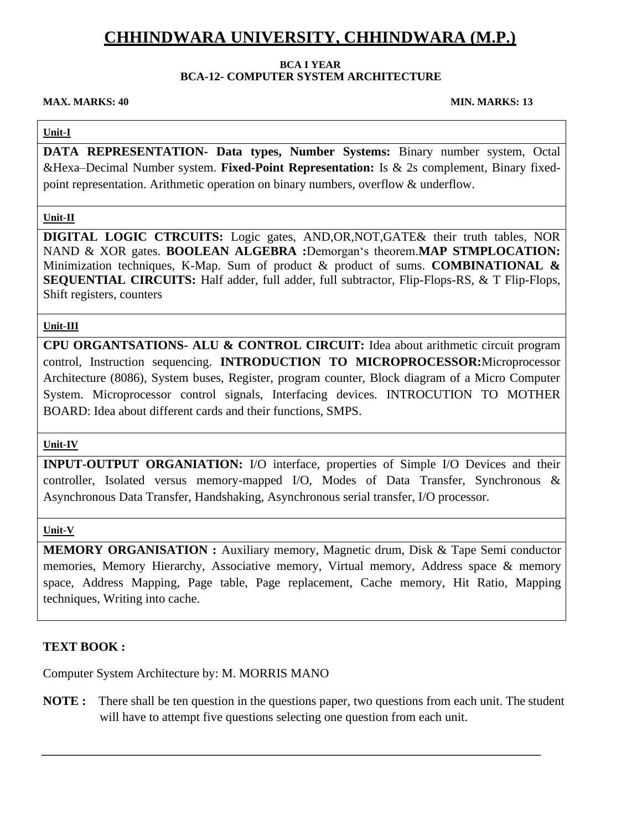#### **BCA I YEAR**

## **BCA-12- COMPUTER SYSTEM ARCHITECTURE**

#### **MAX. MARKS: 40 MIN. MARKS: 13**

## **Unit-I**

**DATA REPRESENTATION- Data types, Number Systems:** Binary number system, Octal &Hexa–Decimal Number system. **Fixed-Point Representation:** Is & 2s complement, Binary fixedpoint representation. Arithmetic operation on binary numbers, overflow & underflow.

### **Unit-II**

**DIGITAL LOGIC CTRCUITS:** Logic gates, AND,OR,NOT,GATE& their truth tables, NOR NAND & XOR gates. **BOOLEAN ALGEBRA :**Demorgan's theorem.**MAP STMPLOCATION:**  Minimization techniques, K-Map. Sum of product & product of sums. **COMBINATIONAL & SEQUENTIAL CIRCUITS:** Half adder, full adder, full subtractor, Flip-Flops-RS, & T Flip-Flops, Shift registers, counters

### **Unit-III**

**CPU ORGANTSATIONS- ALU & CONTROL CIRCUIT:** Idea about arithmetic circuit program control, Instruction sequencing. **INTRODUCTION TO MICROPROCESSOR:**Microprocessor Architecture (8086), System buses, Register, program counter, Block diagram of a Micro Computer System. Microprocessor control signals, Interfacing devices. INTROCUTION TO MOTHER BOARD: Idea about different cards and their functions, SMPS.

#### **Unit-IV**

**INPUT-OUTPUT ORGANIATION:** I/O interface, properties of Simple I/O Devices and their controller, Isolated versus memory-mapped I/O, Modes of Data Transfer, Synchronous & Asynchronous Data Transfer, Handshaking, Asynchronous serial transfer, I/O processor.

#### **Unit-V**

**MEMORY ORGANISATION :** Auxiliary memory, Magnetic drum, Disk & Tape Semi conductor memories, Memory Hierarchy, Associative memory, Virtual memory, Address space & memory space, Address Mapping, Page table, Page replacement, Cache memory, Hit Ratio, Mapping techniques, Writing into cache.

## **TEXT BOOK :**

Computer System Architecture by: M. MORRIS MANO

**NOTE :** There shall be ten question in the questions paper, two questions from each unit. The student will have to attempt five questions selecting one question from each unit.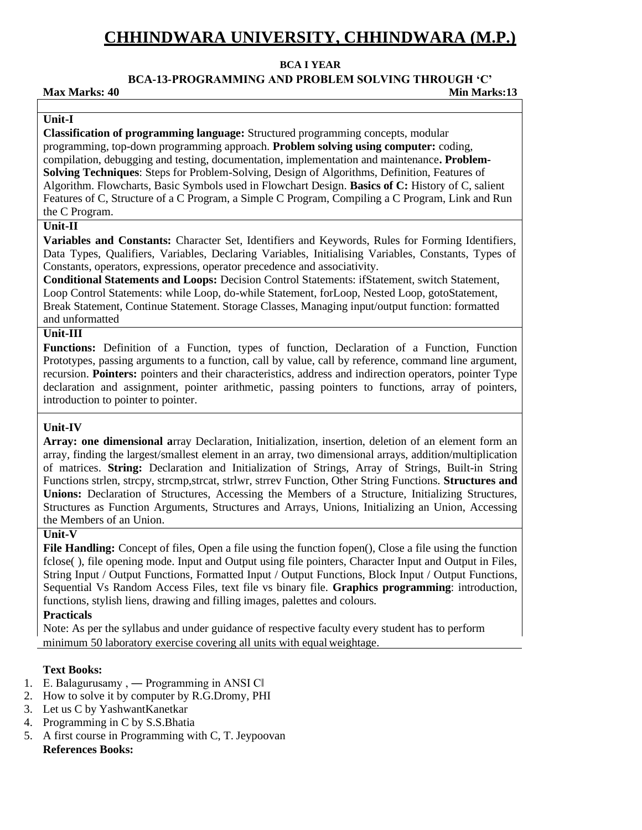#### **BCA I YEAR**

**BCA-13-PROGRAMMING AND PROBLEM SOLVING THROUGH 'C'**

**Max Marks: 40 Min Marks:13**

#### **Unit-I**

**Classification of programming language:** Structured programming concepts, modular programming, top-down programming approach. **Problem solving using computer:** coding, compilation, debugging and testing, documentation, implementation and maintenance**. Problem-Solving Techniques**: Steps for Problem-Solving, Design of Algorithms, Definition, Features of Algorithm. Flowcharts, Basic Symbols used in Flowchart Design. **Basics of C:** History of C, salient Features of C, Structure of a C Program, a Simple C Program, Compiling a C Program, Link and Run the C Program.

## **Unit-II**

**Variables and Constants:** Character Set, Identifiers and Keywords, Rules for Forming Identifiers, Data Types, Qualifiers, Variables, Declaring Variables, Initialising Variables, Constants, Types of Constants, operators, expressions, operator precedence and associativity.

**Conditional Statements and Loops:** Decision Control Statements: ifStatement, switch Statement, Loop Control Statements: while Loop, do-while Statement, forLoop, Nested Loop, gotoStatement, Break Statement, Continue Statement. Storage Classes, Managing input/output function: formatted and unformatted

### **Unit-III**

**Functions:** Definition of a Function, types of function, Declaration of a Function, Function Prototypes, passing arguments to a function, call by value, call by reference, command line argument, recursion. **Pointers:** pointers and their characteristics, address and indirection operators, pointer Type declaration and assignment, pointer arithmetic, passing pointers to functions, array of pointers, introduction to pointer to pointer.

#### **Unit-IV**

**Array: one dimensional a**rray Declaration, Initialization, insertion, deletion of an element form an array, finding the largest/smallest element in an array, two dimensional arrays, addition/multiplication of matrices. **String:** Declaration and Initialization of Strings, Array of Strings, Built-in String Functions strlen, strcpy, strcmp,strcat, strlwr, strrev Function, Other String Functions. **Structures and Unions:** Declaration of Structures, Accessing the Members of a Structure, Initializing Structures, Structures as Function Arguments, Structures and Arrays, Unions, Initializing an Union, Accessing the Members of an Union.

#### **Unit-V**

File Handling: Concept of files, Open a file using the function fopen(), Close a file using the function fclose( ), file opening mode. Input and Output using file pointers, Character Input and Output in Files, String Input / Output Functions, Formatted Input / Output Functions, Block Input / Output Functions, Sequential Vs Random Access Files, text file vs binary file. **Graphics programming**: introduction, functions, stylish liens, drawing and filling images, palettes and colours.

## **Practicals**

Note: As per the syllabus and under guidance of respective faculty every student has to perform minimum 50 laboratory exercise covering all units with equal weightage.

## **Text Books:**

- 1. E. Balagurusamy, Programming in ANSI CI
- 2. How to solve it by computer by R.G.Dromy, PHI
- 3. Let us C by YashwantKanetkar
- 4. Programming in C by S.S.Bhatia
- 5. A first course in Programming with C, T. Jeypoovan **References Books:**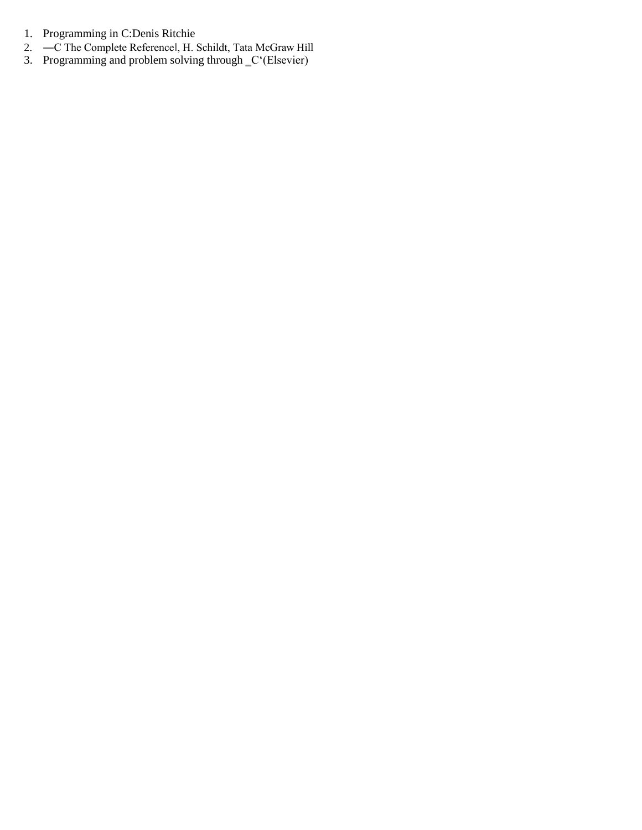- 1. Programming in C:Denis Ritchie
- 2. ―C The Complete Reference‖, H. Schildt, Tata McGraw Hill
- 3. Programming and problem solving through  $\mathcal{C}^{\cdot}$ (Elsevier)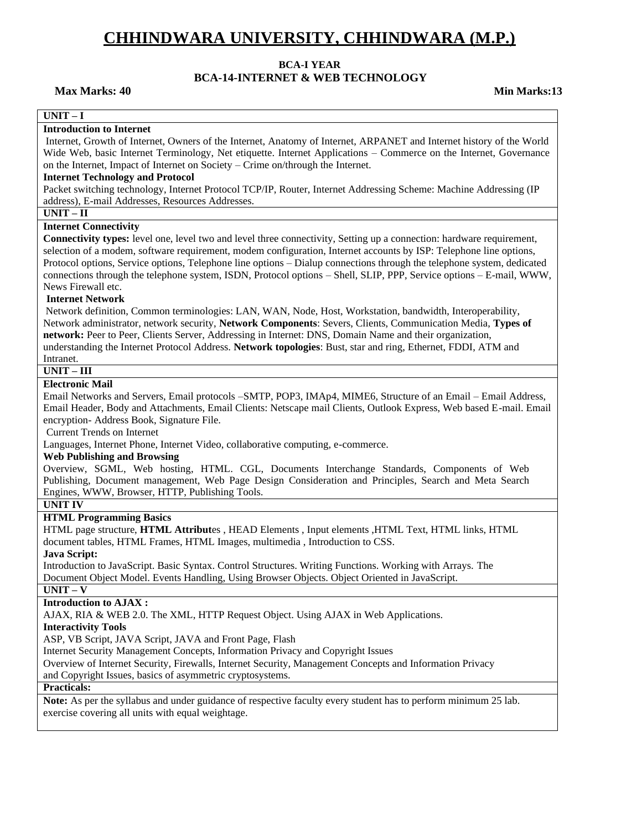#### **BCA-I YEAR**

# **BCA-14-INTERNET & WEB TECHNOLOGY**

**Max Marks: 40 Min Marks: 13 Min Marks: 13** 

#### **UNIT – I**

#### **Introduction to Internet**

Internet, Growth of Internet, Owners of the Internet, Anatomy of Internet, ARPANET and Internet history of the World Wide Web, basic Internet Terminology, Net etiquette. Internet Applications – Commerce on the Internet, Governance on the Internet, Impact of Internet on Society – Crime on/through the Internet.

#### **Internet Technology and Protocol**

Packet switching technology, Internet Protocol TCP/IP, Router, Internet Addressing Scheme: Machine Addressing (IP address), E-mail Addresses, Resources Addresses.

#### **UNIT – II**

#### **Internet Connectivity**

**Connectivity types:** level one, level two and level three connectivity, Setting up a connection: hardware requirement, selection of a modem, software requirement, modem configuration, Internet accounts by ISP: Telephone line options, Protocol options, Service options, Telephone line options – Dialup connections through the telephone system, dedicated connections through the telephone system, ISDN, Protocol options – Shell, SLIP, PPP, Service options – E-mail, WWW, News Firewall etc.

#### **Internet Network**

Network definition, Common terminologies: LAN, WAN, Node, Host, Workstation, bandwidth, Interoperability, Network administrator, network security, **Network Components**: Severs, Clients, Communication Media, **Types of network:** Peer to Peer, Clients Server, Addressing in Internet: DNS, Domain Name and their organization, understanding the Internet Protocol Address. **Network topologies**: Bust, star and ring, Ethernet, FDDI, ATM and Intranet.

#### **UNIT – III**

#### **Electronic Mail**

Email Networks and Servers, Email protocols –SMTP, POP3, IMAp4, MIME6, Structure of an Email – Email Address, Email Header, Body and Attachments, Email Clients: Netscape mail Clients, Outlook Express, Web based E-mail. Email encryption- Address Book, Signature File.

Current Trends on Internet

Languages, Internet Phone, Internet Video, collaborative computing, e-commerce.

#### **Web Publishing and Browsing**

Overview, SGML, Web hosting, HTML. CGL, Documents Interchange Standards, Components of Web Publishing, Document management, Web Page Design Consideration and Principles, Search and Meta Search Engines, WWW, Browser, HTTP, Publishing Tools.

#### **UNIT IV**

#### **HTML Programming Basics**

HTML page structure, **HTML Attribut**es , HEAD Elements , Input elements ,HTML Text, HTML links, HTML document tables, HTML Frames, HTML Images, multimedia , Introduction to CSS.

**Java Script:**

Introduction to JavaScript. Basic Syntax. Control Structures. Writing Functions. Working with Arrays. The Document Object Model. Events Handling, Using Browser Objects. Object Oriented in JavaScript.

#### **UNIT – V**

#### **Introduction to AJAX :**

AJAX, RIA & WEB 2.0. The XML, HTTP Request Object. Using AJAX in Web Applications.

#### **Interactivity Tools**

ASP, VB Script, JAVA Script, JAVA and Front Page, Flash

Internet Security Management Concepts, Information Privacy and Copyright Issues

Overview of Internet Security, Firewalls, Internet Security, Management Concepts and Information Privacy

and Copyright Issues, basics of asymmetric cryptosystems.

#### **Practicals:**

**Note:** As per the syllabus and under guidance of respective faculty every student has to perform minimum 25 lab. exercise covering all units with equal weightage.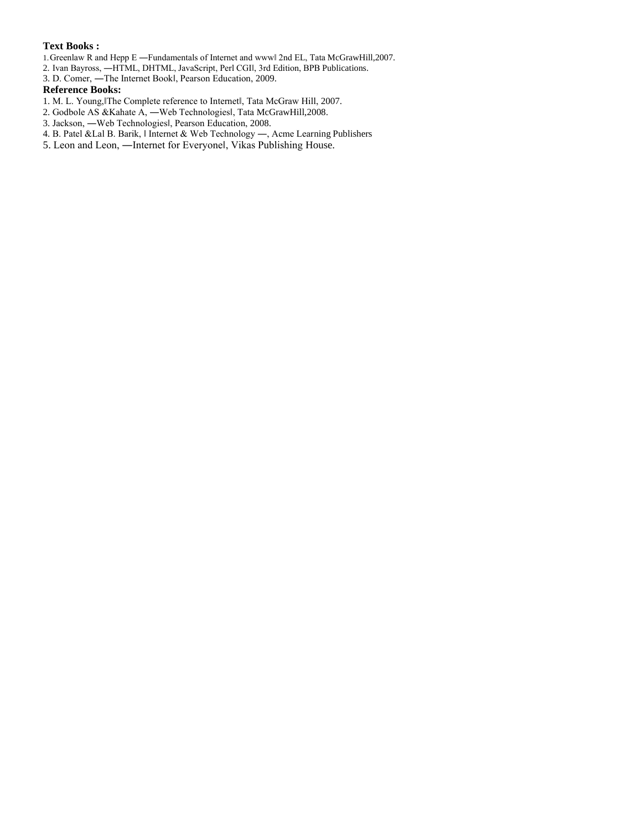#### **Text Books :**

1.Greenlaw R and Hepp E ―Fundamentals of Internet and www‖ 2nd EL, Tata McGrawHill,2007.

- 2. Ivan Bayross, ―HTML, DHTML, JavaScript, Perl CGI‖, 3rd Edition, BPB Publications.
- 3. D. Comer, ―The Internet Book‖, Pearson Education, 2009.

#### **Reference Books:**

- 1. M. L. Young, The Complete reference to Internetl, Tata McGraw Hill, 2007.
- 2. Godbole AS &Kahate A, ―Web Technologies‖, Tata McGrawHill,2008.
- 3. Jackson, ―Web Technologies‖, Pearson Education, 2008.
- 4. B. Patel &Lal B. Barik, ‖ Internet & Web Technology ―, Acme Learning Publishers
- 5. Leon and Leon, ―Internet for Everyone‖, Vikas Publishing House.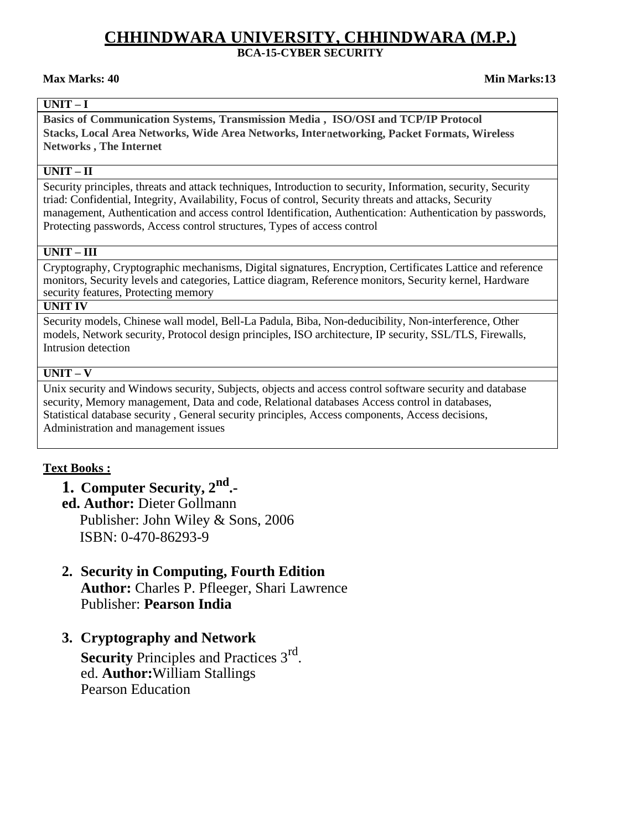## **CHHINDWARA UNIVERSITY, CHHINDWARA (M.P.) BCA-15-CYBER SECURITY**

#### **Max Marks: 40 Min Marks:13**

## **UNIT – I**

**Basics of Communication Systems, Transmission Media , ISO/OSI and TCP/IP Protocol Stacks, Local Area Networks, Wide Area Networks, Internetworking, Packet Formats, Wireless Networks , The Internet**

#### **UNIT – II**

Security principles, threats and attack techniques, Introduction to security, Information, security, Security triad: Confidential, Integrity, Availability, Focus of control, Security threats and attacks, Security management, Authentication and access control Identification, Authentication: Authentication by passwords, Protecting passwords, Access control structures, Types of access control

### **UNIT – III**

Cryptography, Cryptographic mechanisms, Digital signatures, Encryption, Certificates Lattice and reference monitors, Security levels and categories, Lattice diagram, Reference monitors, Security kernel, Hardware security features, Protecting memory

### **UNIT IV**

Security models, Chinese wall model, Bell-La Padula, Biba, Non-deducibility, Non-interference, Other models, Network security, Protocol design principles, ISO architecture, IP security, SSL/TLS, Firewalls, Intrusion detection

#### **UNIT – V**

Unix security and Windows security, Subjects, objects and access control software security and database security, Memory management, Data and code, Relational databases Access control in databases, Statistical database security , General security principles, Access components, Access decisions, Administration and management issues

## **Text Books :**

**1. Computer Security, 2nd .-**

**ed. Author:** Dieter Gollmann Publisher: John Wiley & Sons, 2006 ISBN: 0-470-86293-9

## **2. Security in Computing, Fourth Edition Author:** Charles P. Pfleeger, Shari Lawrence Publisher: **Pearson India**

## **3. Cryptography and Network**

Security Principles and Practices 3<sup>rd</sup>. ed. **Author:**William Stallings Pearson Education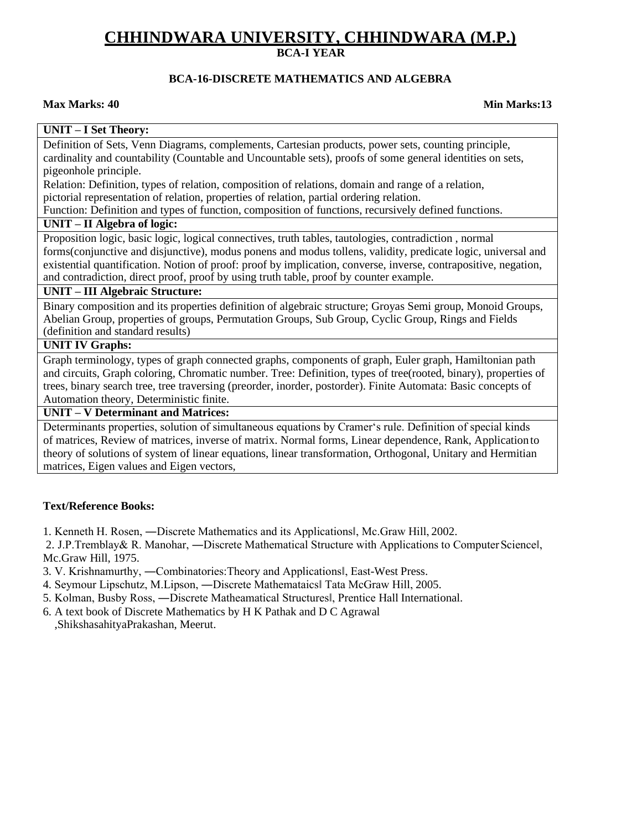## **BCA-16-DISCRETE MATHEMATICS AND ALGEBRA**

#### **Max Marks: 40 Min Marks:13**

#### **UNIT – I Set Theory:**

Definition of Sets, Venn Diagrams, complements, Cartesian products, power sets, counting principle, cardinality and countability (Countable and Uncountable sets), proofs of some general identities on sets, pigeonhole principle.

Relation: Definition, types of relation, composition of relations, domain and range of a relation, pictorial representation of relation, properties of relation, partial ordering relation.

Function: Definition and types of function, composition of functions, recursively defined functions.

#### **UNIT – II Algebra of logic:**

Proposition logic, basic logic, logical connectives, truth tables, tautologies, contradiction , normal forms(conjunctive and disjunctive), modus ponens and modus tollens, validity, predicate logic, universal and existential quantification. Notion of proof: proof by implication, converse, inverse, contrapositive, negation, and contradiction, direct proof, proof by using truth table, proof by counter example.

#### **UNIT – III Algebraic Structure:**

Binary composition and its properties definition of algebraic structure; Groyas Semi group, Monoid Groups, Abelian Group, properties of groups, Permutation Groups, Sub Group, Cyclic Group, Rings and Fields (definition and standard results)

## **UNIT IV Graphs:**

Graph terminology, types of graph connected graphs, components of graph, Euler graph, Hamiltonian path and circuits, Graph coloring, Chromatic number. Tree: Definition, types of tree(rooted, binary), properties of trees, binary search tree, tree traversing (preorder, inorder, postorder). Finite Automata: Basic concepts of Automation theory, Deterministic finite.

**UNIT – V Determinant and Matrices:**

Determinants properties, solution of simultaneous equations by Cramer's rule. Definition of special kinds of matrices, Review of matrices, inverse of matrix. Normal forms, Linear dependence, Rank, Application to theory of solutions of system of linear equations, linear transformation, Orthogonal, Unitary and Hermitian matrices, Eigen values and Eigen vectors,

#### **Text/Reference Books:**

1. Kenneth H. Rosen, ―Discrete Mathematics and its Applications‖, Mc.Graw Hill, 2002.

2. J.P.Tremblay& R. Manohar, —Discrete Mathematical Structure with Applications to Computer Sciencel, Mc.Graw Hill, 1975.

- 3. V. Krishnamurthy, ―Combinatories:Theory and Applications‖, East-West Press.
- 4. Seymour Lipschutz, M.Lipson, ―Discrete Mathemataics‖ Tata McGraw Hill, 2005.
- 5. Kolman, Busby Ross, ―Discrete Matheamatical Structures‖, Prentice Hall International.
- 6. A text book of Discrete Mathematics by H K Pathak and D C Agrawal ,ShikshasahityaPrakashan, Meerut.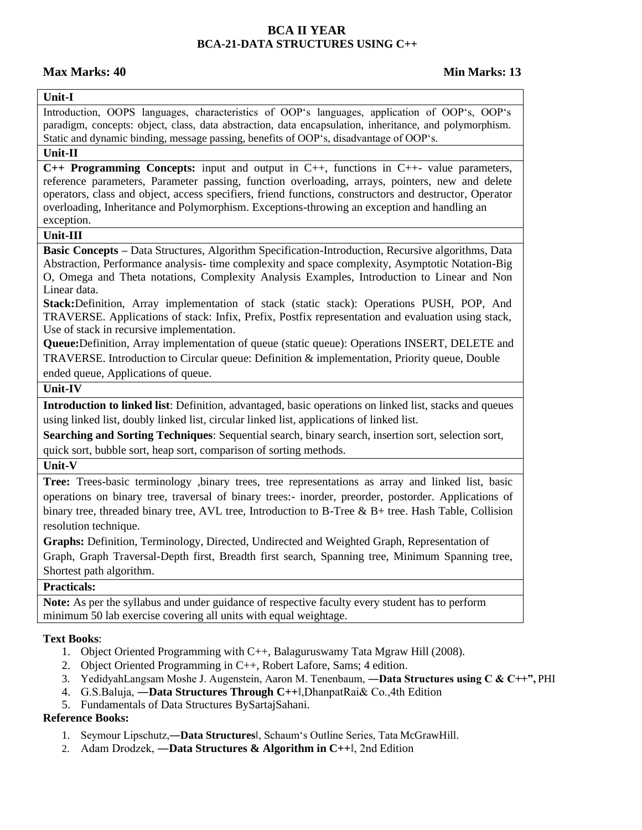## **BCA II YEAR BCA-21-DATA STRUCTURES USING C++**

## **Max Marks: 40 Min Marks: 13**

## **Unit-I**

Introduction, OOPS languages, characteristics of OOP's languages, application of OOP's, OOP's paradigm, concepts: object, class, data abstraction, data encapsulation, inheritance, and polymorphism. Static and dynamic binding, message passing, benefits of OOP's, disadvantage of OOP's.

## **Unit-II**

**C++ Programming Concepts:** input and output in C++, functions in C++- value parameters, reference parameters, Parameter passing, function overloading, arrays, pointers, new and delete operators, class and object, access specifiers, friend functions, constructors and destructor, Operator overloading, Inheritance and Polymorphism. Exceptions-throwing an exception and handling an exception.

### **Unit-III**

**Basic Concepts –** Data Structures, Algorithm Specification-Introduction, Recursive algorithms, Data Abstraction, Performance analysis- time complexity and space complexity, Asymptotic Notation-Big O, Omega and Theta notations, Complexity Analysis Examples, Introduction to Linear and Non Linear data.

**Stack:**Definition, Array implementation of stack (static stack): Operations PUSH, POP, And TRAVERSE. Applications of stack: Infix, Prefix, Postfix representation and evaluation using stack, Use of stack in recursive implementation.

**Queue:**Definition, Array implementation of queue (static queue): Operations INSERT, DELETE and TRAVERSE. Introduction to Circular queue: Definition & implementation, Priority queue, Double ended queue, Applications of queue.

## **Unit-IV**

**Introduction to linked list**: Definition, advantaged, basic operations on linked list, stacks and queues using linked list, doubly linked list, circular linked list, applications of linked list.

**Searching and Sorting Techniques**: Sequential search, binary search, insertion sort, selection sort, quick sort, bubble sort, heap sort, comparison of sorting methods.

#### **Unit-V**

**Tree:** Trees-basic terminology ,binary trees, tree representations as array and linked list, basic operations on binary tree, traversal of binary trees:- inorder, preorder, postorder. Applications of binary tree, threaded binary tree, AVL tree, Introduction to B-Tree & B+ tree. Hash Table, Collision resolution technique.

**Graphs:** Definition, Terminology, Directed, Undirected and Weighted Graph, Representation of Graph, Graph Traversal-Depth first, Breadth first search, Spanning tree, Minimum Spanning tree, Shortest path algorithm.

## **Practicals:**

**Note:** As per the syllabus and under guidance of respective faculty every student has to perform minimum 50 lab exercise covering all units with equal weightage.

## **Text Books**:

- 1. Object Oriented Programming with C++, Balaguruswamy Tata Mgraw Hill (2008).
- 2. Object Oriented Programming in C++, Robert Lafore, Sams; 4 edition.
- 3. YedidyahLangsam Moshe J. Augenstein, Aaron M. Tenenbaum, ―**Data Structures using C & C++",** PHI
- 4. G.S.Baluja, ―**Data Structures Through C++**‖,DhanpatRai& Co.,4th Edition
- 5. Fundamentals of Data Structures BySartajSahani.

## **Reference Books:**

- 1. Seymour Lipschutz,―**Data Structures**‖, Schaum's Outline Series, Tata McGrawHill.
- 2. Adam Drodzek, ―**Data Structures & Algorithm in C++**‖, 2nd Edition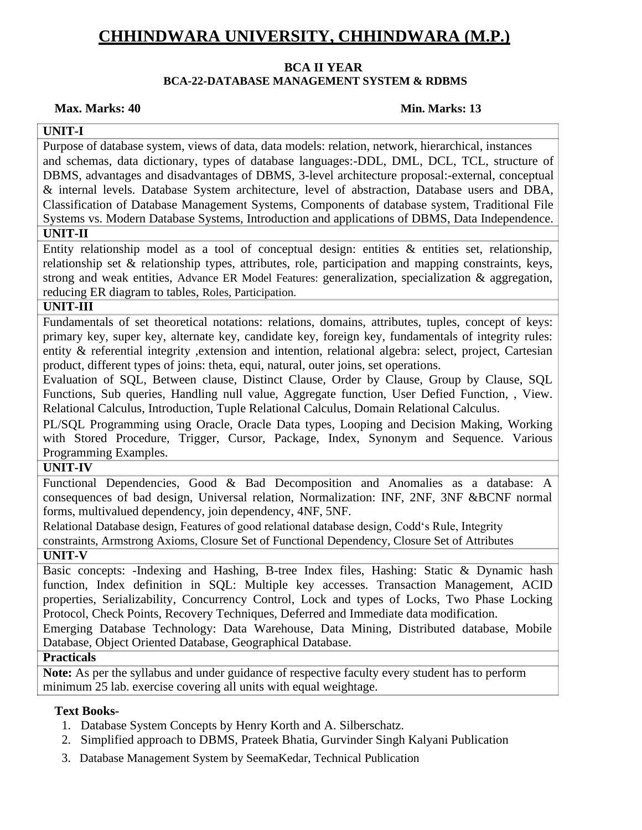## **BCA II YEAR**

## **BCA-22-DATABASE MANAGEMENT SYSTEM & RDBMS**

### **Max. Marks: 40 Min. Marks: 13**

## **UNIT-I**

Purpose of database system, views of data, data models: relation, network, hierarchical, instances and schemas, data dictionary, types of database languages:-DDL, DML, DCL, TCL, structure of DBMS, advantages and disadvantages of DBMS, 3-level architecture proposal:-external, conceptual & internal levels. Database System architecture, level of abstraction, Database users and DBA, Classification of Database Management Systems, Components of database system, Traditional File Systems vs. Modern Database Systems, Introduction and applications of DBMS, Data Independence.

## **UNIT-II**

Entity relationship model as a tool of conceptual design: entities  $\&$  entities set, relationship, relationship set & relationship types, attributes, role, participation and mapping constraints, keys, strong and weak entities, Advance ER Model Features: generalization, specialization & aggregation, reducing ER diagram to tables, Roles, Participation.

### **UNIT-III**

Fundamentals of set theoretical notations: relations, domains, attributes, tuples, concept of keys: primary key, super key, alternate key, candidate key, foreign key, fundamentals of integrity rules: entity & referential integrity ,extension and intention, relational algebra: select, project, Cartesian product, different types of joins: theta, equi, natural, outer joins, set operations.

Evaluation of SQL, Between clause, Distinct Clause, Order by Clause, Group by Clause, SQL Functions, Sub queries, Handling null value, Aggregate function, User Defied Function, , View. Relational Calculus, Introduction, Tuple Relational Calculus, Domain Relational Calculus.

PL/SQL Programming using Oracle, Oracle Data types, Looping and Decision Making, Working with Stored Procedure, Trigger, Cursor, Package, Index, Synonym and Sequence. Various Programming Examples.

## **UNIT-IV**

Functional Dependencies, Good & Bad Decomposition and Anomalies as a database: A consequences of bad design, Universal relation, Normalization: INF, 2NF, 3NF &BCNF normal forms, multivalued dependency, join dependency, 4NF, 5NF.

Relational Database design, Features of good relational database design, Codd's Rule, Integrity

constraints, Armstrong Axioms, Closure Set of Functional Dependency, Closure Set of Attributes

## **UNIT-V**

Basic concepts: -Indexing and Hashing, B-tree Index files, Hashing: Static & Dynamic hash function, Index definition in SQL: Multiple key accesses. Transaction Management, ACID properties, Serializability, Concurrency Control, Lock and types of Locks, Two Phase Locking Protocol, Check Points, Recovery Techniques, Deferred and Immediate data modification.

Emerging Database Technology: Data Warehouse, Data Mining, Distributed database, Mobile Database, Object Oriented Database, Geographical Database.

## **Practicals**

**Note:** As per the syllabus and under guidance of respective faculty every student has to perform minimum 25 lab. exercise covering all units with equal weightage.

## **Text Books-**

- 1. Database System Concepts by Henry Korth and A. Silberschatz.
- 2. Simplified approach to DBMS, Prateek Bhatia, Gurvinder Singh Kalyani Publication
- 3. Database Management System by SeemaKedar, Technical Publication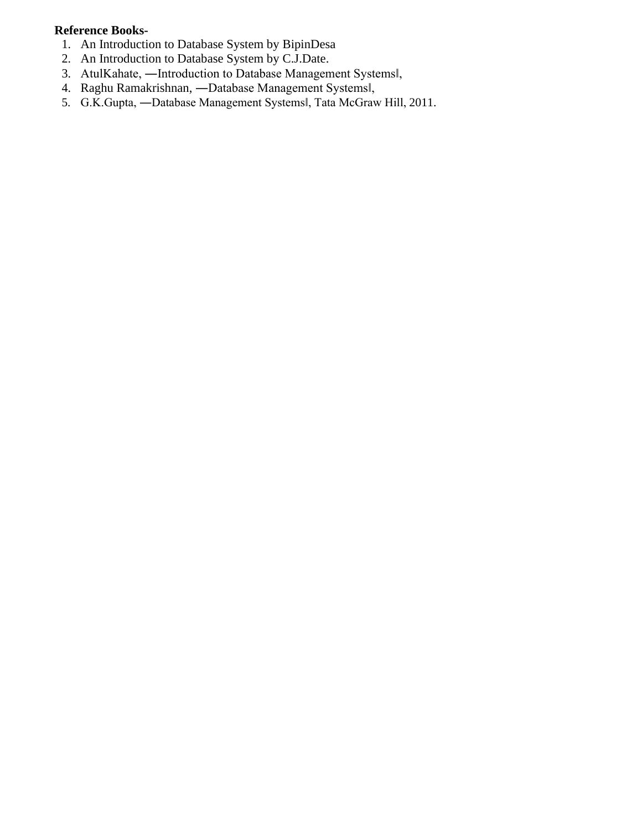## **Reference Books-**

- 1. An Introduction to Database System by BipinDesa
- 2. An Introduction to Database System by C.J.Date.
- 3. AtulKahate, ―Introduction to Database Management Systems‖,
- 4. Raghu Ramakrishnan, ―Database Management Systems‖,
- 5. G.K.Gupta, -Database Management Systemsl, Tata McGraw Hill, 2011.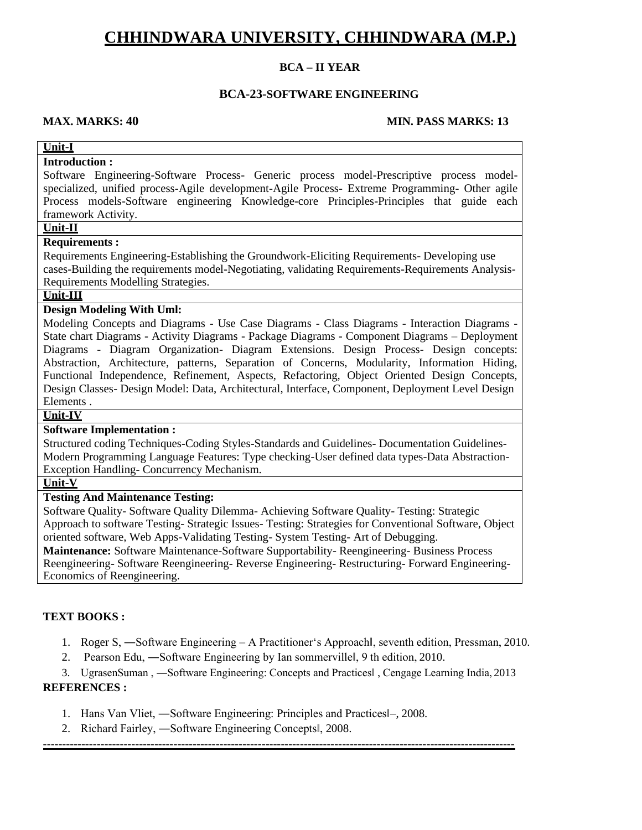### **BCA – II YEAR**

#### **BCA-23-SOFTWARE ENGINEERING**

#### **MAX. MARKS: 40 MIN. PASS MARKS: 13**

#### **Unit-I**

## **Introduction :**

Software Engineering-Software Process- Generic process model-Prescriptive process modelspecialized, unified process-Agile development-Agile Process- Extreme Programming- Other agile Process models-Software engineering Knowledge-core Principles-Principles that guide each framework Activity.

## **Unit-II**

#### **Requirements :**

Requirements Engineering-Establishing the Groundwork-Eliciting Requirements- Developing use cases-Building the requirements model-Negotiating, validating Requirements-Requirements Analysis-Requirements Modelling Strategies.

## **Unit-III**

#### **Design Modeling With Uml:**

Modeling Concepts and Diagrams - Use Case Diagrams - Class Diagrams - Interaction Diagrams - State chart Diagrams - Activity Diagrams - Package Diagrams - Component Diagrams – Deployment Diagrams - Diagram Organization- Diagram Extensions. Design Process- Design concepts: Abstraction, Architecture, patterns, Separation of Concerns, Modularity, Information Hiding, Functional Independence, Refinement, Aspects, Refactoring, Object Oriented Design Concepts, Design Classes- Design Model: Data, Architectural, Interface, Component, Deployment Level Design Elements .

#### **Unit-IV**

#### **Software Implementation :**

Structured coding Techniques-Coding Styles-Standards and Guidelines- Documentation Guidelines-Modern Programming Language Features: Type checking-User defined data types-Data Abstraction-Exception Handling- Concurrency Mechanism.

## **Unit-V**

### **Testing And Maintenance Testing:**

Software Quality- Software Quality Dilemma- Achieving Software Quality- Testing: Strategic Approach to software Testing- Strategic Issues- Testing: Strategies for Conventional Software, Object oriented software, Web Apps-Validating Testing- System Testing- Art of Debugging.

**Maintenance:** Software Maintenance-Software Supportability- Reengineering- Business Process Reengineering- Software Reengineering- Reverse Engineering- Restructuring- Forward Engineering-Economics of Reengineering.

#### **TEXT BOOKS :**

- 1. Roger S, ―Software Engineering A Practitioner's Approach‖, seventh edition, Pressman, 2010.
- 2. Pearson Edu, —Software Engineering by Ian sommervillel, 9 th edition, 2010.

3. UgrasenSuman , ―Software Engineering: Concepts and Practices‖ , Cengage Learning India, 2013

#### **REFERENCES :**

- 1. Hans Van Vliet, ―Software Engineering: Principles and Practices‖–, 2008.
- 2. Richard Fairley, ―Software Engineering Concepts‖, 2008.

**---------------------------------------------------------------------------------------------------------------------------**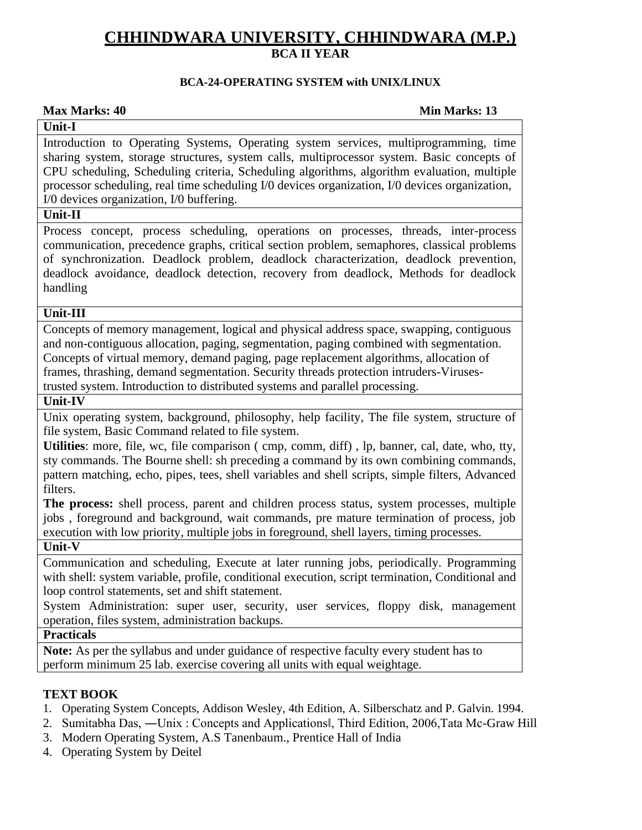## **BCA-24-OPERATING SYSTEM with UNIX/LINUX**

## **Max Marks: 40 Min Marks: 13**

## **Unit-I**

Introduction to Operating Systems, Operating system services, multiprogramming, time sharing system, storage structures, system calls, multiprocessor system. Basic concepts of CPU scheduling, Scheduling criteria, Scheduling algorithms, algorithm evaluation, multiple processor scheduling, real time scheduling I/0 devices organization, I/0 devices organization, I/0 devices organization, I/0 buffering.

## **Unit-II**

Process concept, process scheduling, operations on processes, threads, inter-process communication, precedence graphs, critical section problem, semaphores, classical problems of synchronization. Deadlock problem, deadlock characterization, deadlock prevention, deadlock avoidance, deadlock detection, recovery from deadlock, Methods for deadlock handling

## **Unit-III**

Concepts of memory management, logical and physical address space, swapping, contiguous and non-contiguous allocation, paging, segmentation, paging combined with segmentation. Concepts of virtual memory, demand paging, page replacement algorithms, allocation of frames, thrashing, demand segmentation. Security threads protection intruders-Virusestrusted system. Introduction to distributed systems and parallel processing.

## **Unit-IV**

Unix operating system, background, philosophy, help facility, The file system, structure of file system, Basic Command related to file system.

**Utilities**: more, file, wc, file comparison ( cmp, comm, diff) , lp, banner, cal, date, who, tty, sty commands. The Bourne shell: sh preceding a command by its own combining commands, pattern matching, echo, pipes, tees, shell variables and shell scripts, simple filters, Advanced filters.

**The process:** shell process, parent and children process status, system processes, multiple jobs , foreground and background, wait commands, pre mature termination of process, job execution with low priority, multiple jobs in foreground, shell layers, timing processes.

## **Unit-V**

Communication and scheduling, Execute at later running jobs, periodically. Programming with shell: system variable, profile, conditional execution, script termination, Conditional and loop control statements, set and shift statement.

System Administration: super user, security, user services, floppy disk, management operation, files system, administration backups.

## **Practicals**

**Note:** As per the syllabus and under guidance of respective faculty every student has to perform minimum 25 lab. exercise covering all units with equal weightage.

## **TEXT BOOK**

- 1. Operating System Concepts, Addison Wesley, 4th Edition, A. Silberschatz and P. Galvin. 1994.
- 2. Sumitabha Das, ―Unix : Concepts and Applications‖, Third Edition, 2006,Tata Mc-Graw Hill
- 3. Modern Operating System, A.S Tanenbaum., Prentice Hall of India
- 4. Operating System by Deitel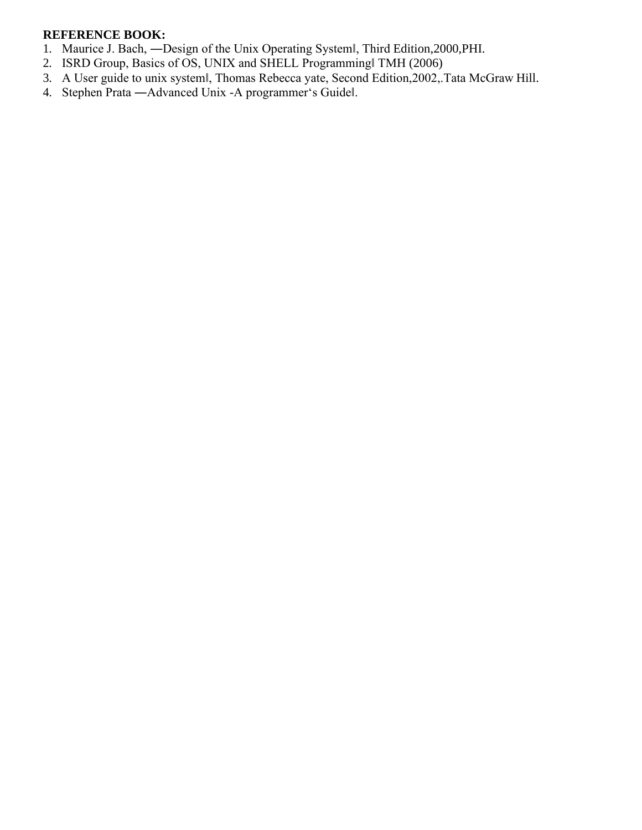## **REFERENCE BOOK:**

- 1. Maurice J. Bach, ―Design of the Unix Operating System‖, Third Edition,2000,PHI.
- 2. ISRD Group, Basics of OS, UNIX and SHELL Programming‖ TMH (2006)
- 3. A User guide to unix system‖, Thomas Rebecca yate, Second Edition,2002,.Tata McGraw Hill.
- 4. Stephen Prata ―Advanced Unix -A programmer's Guide‖.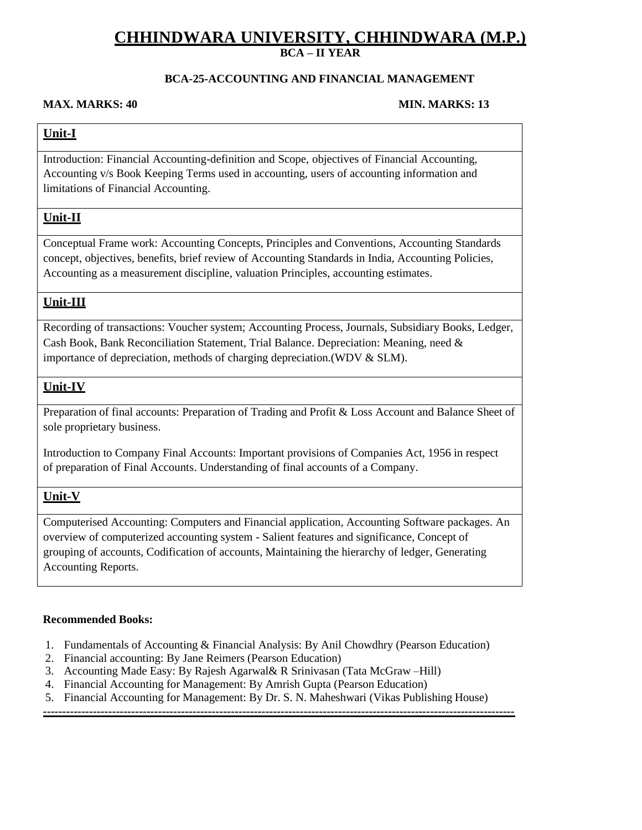## **BCA-25-ACCOUNTING AND FINANCIAL MANAGEMENT**

#### **MAX. MARKS: 40 MIN. MARKS: 13**

## **Unit-I**

Introduction: Financial Accounting-definition and Scope, objectives of Financial Accounting, Accounting v/s Book Keeping Terms used in accounting, users of accounting information and limitations of Financial Accounting.

## **Unit-II**

Conceptual Frame work: Accounting Concepts, Principles and Conventions, Accounting Standards concept, objectives, benefits, brief review of Accounting Standards in India, Accounting Policies, Accounting as a measurement discipline, valuation Principles, accounting estimates.

## **Unit-III**

Recording of transactions: Voucher system; Accounting Process, Journals, Subsidiary Books, Ledger, Cash Book, Bank Reconciliation Statement, Trial Balance. Depreciation: Meaning, need & importance of depreciation, methods of charging depreciation.(WDV & SLM).

## **Unit-IV**

Preparation of final accounts: Preparation of Trading and Profit & Loss Account and Balance Sheet of sole proprietary business.

Introduction to Company Final Accounts: Important provisions of Companies Act, 1956 in respect of preparation of Final Accounts. Understanding of final accounts of a Company.

## **Unit-V**

Computerised Accounting: Computers and Financial application, Accounting Software packages. An overview of computerized accounting system - Salient features and significance, Concept of grouping of accounts, Codification of accounts, Maintaining the hierarchy of ledger, Generating Accounting Reports.

#### **Recommended Books:**

- 1. Fundamentals of Accounting & Financial Analysis: By Anil Chowdhry (Pearson Education)
- 2. Financial accounting: By Jane Reimers (Pearson Education)
- 3. Accounting Made Easy: By Rajesh Agarwal& R Srinivasan (Tata McGraw –Hill)
- 4. Financial Accounting for Management: By Amrish Gupta (Pearson Education)
- 5. Financial Accounting for Management: By Dr. S. N. Maheshwari (Vikas Publishing House)

**---------------------------------------------------------------------------------------------------------------------------**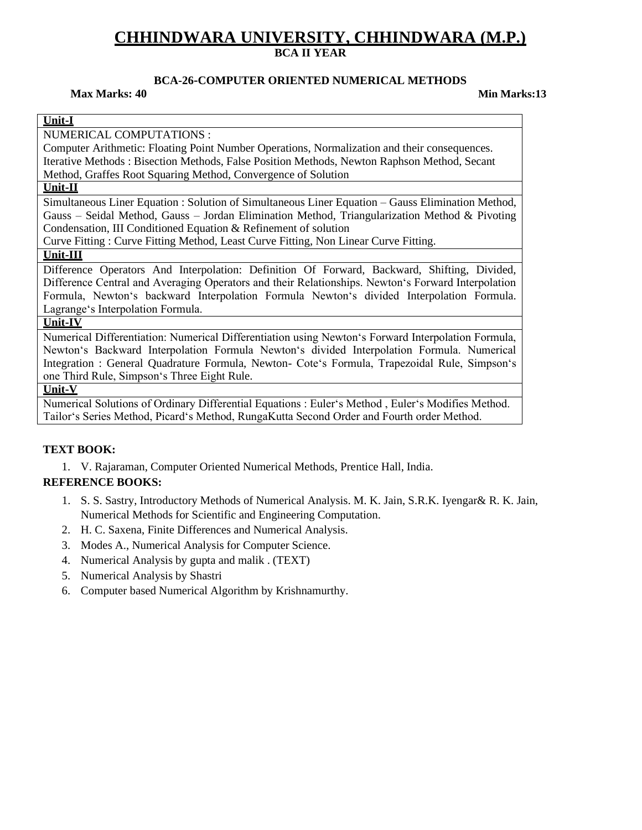## **BCA-26-COMPUTER ORIENTED NUMERICAL METHODS**

#### **Max Marks: 40 Min Marks:13**

#### **Unit-I**

NUMERICAL COMPUTATIONS :

Computer Arithmetic: Floating Point Number Operations, Normalization and their consequences. Iterative Methods : Bisection Methods, False Position Methods, Newton Raphson Method, Secant Method, Graffes Root Squaring Method, Convergence of Solution

## **Unit-II**

Simultaneous Liner Equation : Solution of Simultaneous Liner Equation – Gauss Elimination Method, Gauss – Seidal Method, Gauss – Jordan Elimination Method, Triangularization Method & Pivoting Condensation, III Conditioned Equation & Refinement of solution

Curve Fitting : Curve Fitting Method, Least Curve Fitting, Non Linear Curve Fitting.

#### **Unit-III**

Difference Operators And Interpolation: Definition Of Forward, Backward, Shifting, Divided, Difference Central and Averaging Operators and their Relationships. Newton's Forward Interpolation Formula, Newton's backward Interpolation Formula Newton's divided Interpolation Formula. Lagrange's Interpolation Formula.

#### **Unit-IV**

Numerical Differentiation: Numerical Differentiation using Newton's Forward Interpolation Formula, Newton's Backward Interpolation Formula Newton's divided Interpolation Formula. Numerical Integration : General Quadrature Formula, Newton- Cote's Formula, Trapezoidal Rule, Simpson's one Third Rule, Simpson's Three Eight Rule.

#### **Unit-V**

Numerical Solutions of Ordinary Differential Equations : Euler's Method , Euler's Modifies Method. Tailor's Series Method, Picard's Method, RungaKutta Second Order and Fourth order Method.

#### **TEXT BOOK:**

1. V. Rajaraman, Computer Oriented Numerical Methods, Prentice Hall, India.

#### **REFERENCE BOOKS:**

- 1. S. S. Sastry, Introductory Methods of Numerical Analysis. M. K. Jain, S.R.K. Iyengar& R. K. Jain, Numerical Methods for Scientific and Engineering Computation.
- 2. H. C. Saxena, Finite Differences and Numerical Analysis.
- 3. Modes A., Numerical Analysis for Computer Science.
- 4. Numerical Analysis by gupta and malik . (TEXT)
- 5. Numerical Analysis by Shastri
- 6. Computer based Numerical Algorithm by Krishnamurthy.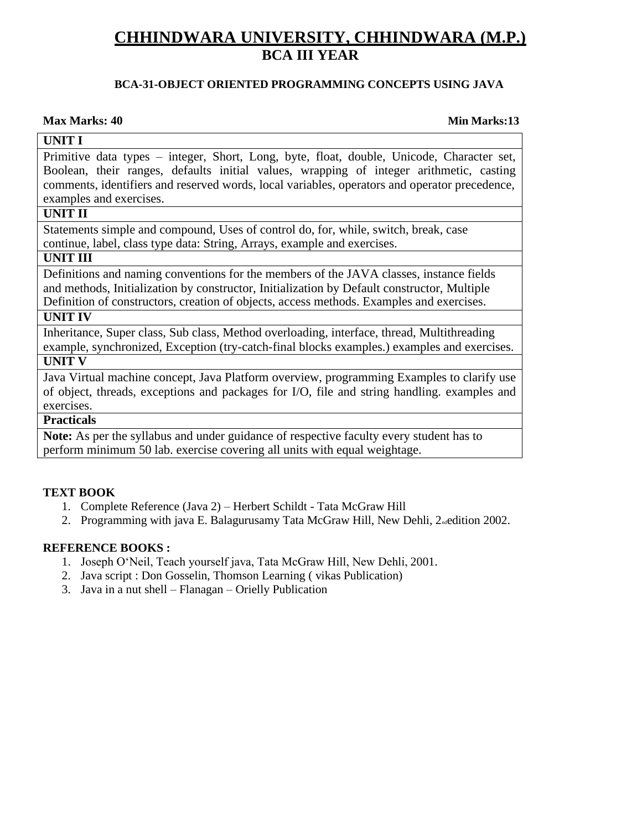## **BCA-31-OBJECT ORIENTED PROGRAMMING CONCEPTS USING JAVA**

## **Max Marks: 40 Min Marks:13**

## **UNIT I**

Primitive data types – integer, Short, Long, byte, float, double, Unicode, Character set, Boolean, their ranges, defaults initial values, wrapping of integer arithmetic, casting comments, identifiers and reserved words, local variables, operators and operator precedence, examples and exercises.

## **UNIT II**

Statements simple and compound, Uses of control do, for, while, switch, break, case continue, label, class type data: String, Arrays, example and exercises.

## **UNIT III**

Definitions and naming conventions for the members of the JAVA classes, instance fields and methods, Initialization by constructor, Initialization by Default constructor, Multiple Definition of constructors, creation of objects, access methods. Examples and exercises.

## **UNIT IV**

Inheritance, Super class, Sub class, Method overloading, interface, thread, Multithreading example, synchronized, Exception (try-catch-final blocks examples.) examples and exercises. **UNIT V**

Java Virtual machine concept, Java Platform overview, programming Examples to clarify use of object, threads, exceptions and packages for I/O, file and string handling. examples and exercises.

## **Practicals**

**Note:** As per the syllabus and under guidance of respective faculty every student has to perform minimum 50 lab. exercise covering all units with equal weightage.

## **TEXT BOOK**

- 1. Complete Reference (Java 2) Herbert Schildt Tata McGraw Hill
- 2. Programming with java E. Balagurusamy Tata McGraw Hill, New Dehli, 2<sub>nd</sub>edition 2002.

## **REFERENCE BOOKS :**

- 1. Joseph O'Neil, Teach yourself java, Tata McGraw Hill, New Dehli, 2001.
- 2. Java script : Don Gosselin, Thomson Learning ( vikas Publication)
- 3. Java in a nut shell Flanagan Orielly Publication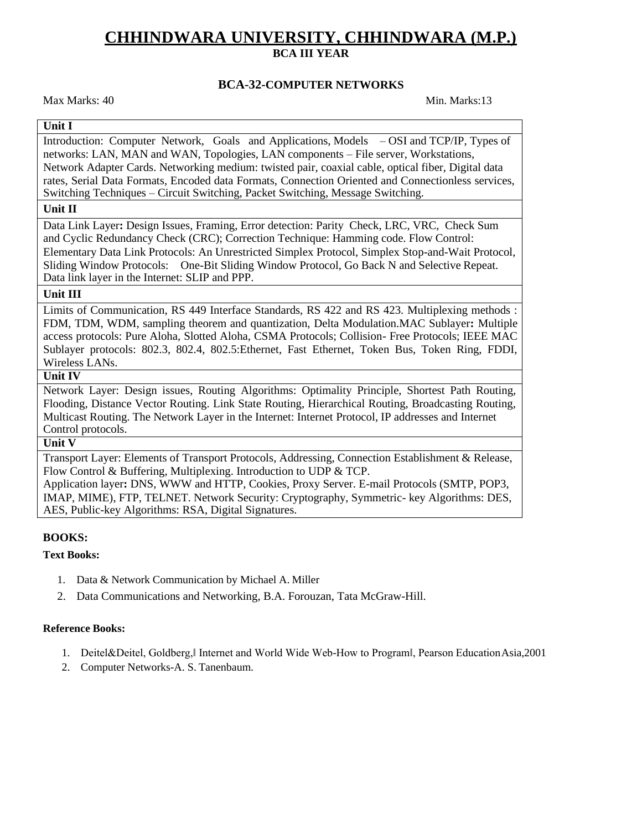### **BCA-32-COMPUTER NETWORKS**

Max Marks: 40 Min. Marks: 13

## **Unit I**

Introduction: Computer Network, Goals and Applications, Models – OSI and TCP/IP, Types of networks: LAN, MAN and WAN, Topologies, LAN components – File server, Workstations, Network Adapter Cards. Networking medium: twisted pair, coaxial cable, optical fiber, Digital data rates, Serial Data Formats, Encoded data Formats, Connection Oriented and Connectionless services, Switching Techniques – Circuit Switching, Packet Switching, Message Switching.

#### **Unit II**

Data Link Layer**:** Design Issues, Framing, Error detection: Parity Check, LRC, VRC, Check Sum and Cyclic Redundancy Check (CRC); Correction Technique: Hamming code. Flow Control: Elementary Data Link Protocols: An Unrestricted Simplex Protocol, Simplex Stop-and-Wait Protocol, Sliding Window Protocols: One-Bit Sliding Window Protocol, Go Back N and Selective Repeat. Data link layer in the Internet: SLIP and PPP.

#### **Unit III**

Limits of Communication, RS 449 Interface Standards, RS 422 and RS 423. Multiplexing methods : FDM, TDM, WDM, sampling theorem and quantization, Delta Modulation.MAC Sublayer**:** Multiple access protocols: Pure Aloha, Slotted Aloha, CSMA Protocols; Collision- Free Protocols; IEEE MAC Sublayer protocols: 802.3, 802.4, 802.5:Ethernet, Fast Ethernet, Token Bus, Token Ring, FDDI, Wireless LANs.

### **Unit IV**

Network Layer: Design issues, Routing Algorithms: Optimality Principle, Shortest Path Routing, Flooding, Distance Vector Routing. Link State Routing, Hierarchical Routing, Broadcasting Routing, Multicast Routing. The Network Layer in the Internet: Internet Protocol, IP addresses and Internet Control protocols.

#### **Unit V**

Transport Layer: Elements of Transport Protocols, Addressing, Connection Establishment & Release, Flow Control & Buffering, Multiplexing. Introduction to UDP & TCP.

Application layer**:** DNS, WWW and HTTP, Cookies, Proxy Server. E-mail Protocols (SMTP, POP3, IMAP, MIME), FTP, TELNET. Network Security: Cryptography, Symmetric- key Algorithms: DES, AES, Public-key Algorithms: RSA, Digital Signatures.

#### **BOOKS:**

#### **Text Books:**

- 1. Data & Network Communication by Michael A. Miller
- 2. Data Communications and Networking, B.A. Forouzan, Tata McGraw-Hill.

#### **Reference Books:**

- 1. Deitel&Deitel, Goldberg,‖ Internet and World Wide Web-How to Program‖, Pearson EducationAsia,2001
- 2. Computer Networks-A. S. Tanenbaum.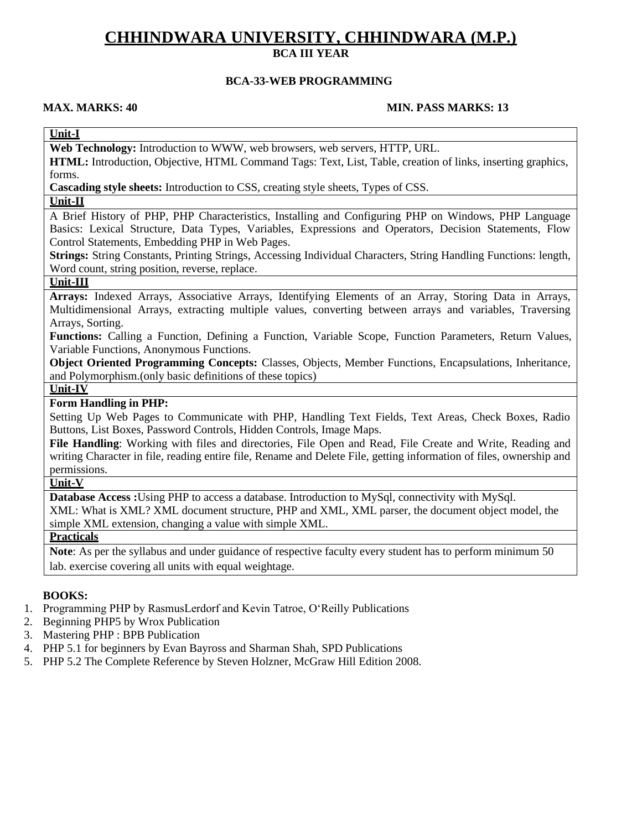## **BCA-33-WEB PROGRAMMING**

#### **MAX. MARKS: 40 MIN. PASS MARKS: 13**

## **Unit-I**

**Web Technology:** Introduction to WWW, web browsers, web servers, HTTP, URL.

**HTML:** Introduction, Objective, HTML Command Tags: Text, List, Table, creation of links, inserting graphics, forms.

**Cascading style sheets:** Introduction to CSS, creating style sheets, Types of CSS.

#### **Unit-II**

A Brief History of PHP, PHP Characteristics, Installing and Configuring PHP on Windows, PHP Language Basics: Lexical Structure, Data Types, Variables, Expressions and Operators, Decision Statements, Flow Control Statements, Embedding PHP in Web Pages.

**Strings:** String Constants, Printing Strings, Accessing Individual Characters, String Handling Functions: length, Word count, string position, reverse, replace.

## **Unit-III**

**Arrays:** Indexed Arrays, Associative Arrays, Identifying Elements of an Array, Storing Data in Arrays, Multidimensional Arrays, extracting multiple values, converting between arrays and variables, Traversing Arrays, Sorting.

**Functions:** Calling a Function, Defining a Function, Variable Scope, Function Parameters, Return Values, Variable Functions, Anonymous Functions.

**Object Oriented Programming Concepts:** Classes, Objects, Member Functions, Encapsulations, Inheritance, and Polymorphism.(only basic definitions of these topics)

#### **Unit-IV**

### **Form Handling in PHP:**

Setting Up Web Pages to Communicate with PHP, Handling Text Fields, Text Areas, Check Boxes, Radio Buttons, List Boxes, Password Controls, Hidden Controls, Image Maps.

**File Handling**: Working with files and directories, File Open and Read, File Create and Write, Reading and writing Character in file, reading entire file, Rename and Delete File, getting information of files, ownership and permissions.

### **Unit-V**

**Database Access :**Using PHP to access a database. Introduction to MySql, connectivity with MySql.

XML: What is XML? XML document structure, PHP and XML, XML parser, the document object model, the simple XML extension, changing a value with simple XML.

### **Practicals**

**Note**: As per the syllabus and under guidance of respective faculty every student has to perform minimum 50 lab. exercise covering all units with equal weightage.

#### **BOOKS:**

- 1. Programming PHP by RasmusLerdorf and Kevin Tatroe, O'Reilly Publications
- 2. Beginning PHP5 by Wrox Publication
- 3. Mastering PHP : BPB Publication
- 4. PHP 5.1 for beginners by Evan Bayross and Sharman Shah, SPD Publications
- 5. PHP 5.2 The Complete Reference by Steven Holzner, McGraw Hill Edition 2008.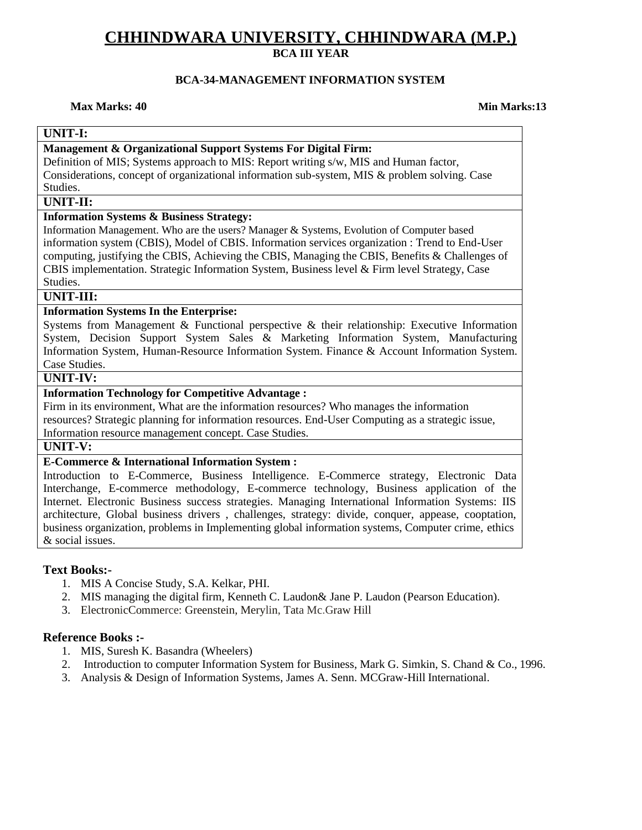## **BCA-34-MANAGEMENT INFORMATION SYSTEM**

#### **Max Marks: 40 Min Marks:13**

## **UNIT-I:**

#### **Management & Organizational Support Systems For Digital Firm:**

Definition of MIS; Systems approach to MIS: Report writing s/w, MIS and Human factor, Considerations, concept of organizational information sub-system, MIS & problem solving. Case Studies.

#### **UNIT-II:**

#### **Information Systems & Business Strategy:**

Information Management. Who are the users? Manager & Systems, Evolution of Computer based information system (CBIS), Model of CBIS. Information services organization : Trend to End-User computing, justifying the CBIS, Achieving the CBIS, Managing the CBIS, Benefits & Challenges of CBIS implementation. Strategic Information System, Business level & Firm level Strategy, Case Studies.

#### **UNIT-III:**

## **Information Systems In the Enterprise:**

Systems from Management & Functional perspective & their relationship: Executive Information System, Decision Support System Sales & Marketing Information System, Manufacturing Information System, Human-Resource Information System. Finance & Account Information System. Case Studies.

## **UNIT-IV:**

#### **Information Technology for Competitive Advantage :**

Firm in its environment, What are the information resources? Who manages the information resources? Strategic planning for information resources. End-User Computing as a strategic issue,

Information resource management concept. Case Studies.

## **UNIT-V:**

#### **E-Commerce & International Information System :**

Introduction to E-Commerce, Business Intelligence. E-Commerce strategy, Electronic Data Interchange, E-commerce methodology, E-commerce technology, Business application of the Internet. Electronic Business success strategies. Managing International Information Systems: IIS architecture, Global business drivers , challenges, strategy: divide, conquer, appease, cooptation, business organization, problems in Implementing global information systems, Computer crime, ethics & social issues.

#### **Text Books:-**

- 1. MIS A Concise Study, S.A. Kelkar, PHI.
- 2. MIS managing the digital firm, Kenneth C. Laudon& Jane P. Laudon (Pearson Education).
- 3. ElectronicCommerce: Greenstein, Merylin, Tata Mc.Graw Hill

#### **Reference Books :-**

- 1. MIS, Suresh K. Basandra (Wheelers)
- 2. Introduction to computer Information System for Business, Mark G. Simkin, S. Chand & Co., 1996.
- 3. Analysis & Design of Information Systems, James A. Senn. MCGraw-Hill International.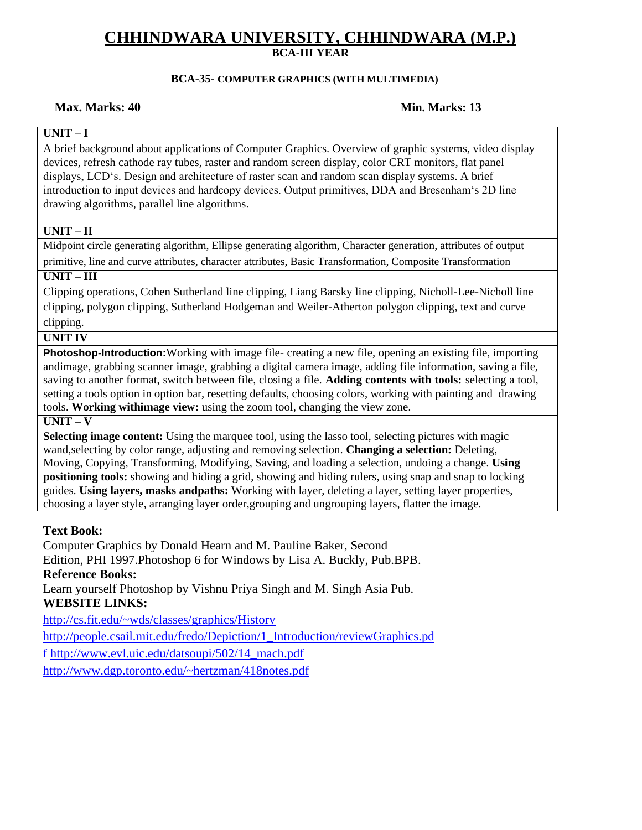### **BCA-35- COMPUTER GRAPHICS (WITH MULTIMEDIA)**

### **Max. Marks: 40 Min. Marks: 13**

## **UNIT – I**

A brief background about applications of Computer Graphics. Overview of graphic systems, video display devices, refresh cathode ray tubes, raster and random screen display, color CRT monitors, flat panel displays, LCD's. Design and architecture of raster scan and random scan display systems. A brief introduction to input devices and hardcopy devices. Output primitives, DDA and Bresenham's 2D line drawing algorithms, parallel line algorithms.

## **UNIT – II**

Midpoint circle generating algorithm, Ellipse generating algorithm, Character generation, attributes of output primitive, line and curve attributes, character attributes, Basic Transformation, Composite Transformation

## **UNIT – III**

Clipping operations, Cohen Sutherland line clipping, Liang Barsky line clipping, Nicholl-Lee-Nicholl line clipping, polygon clipping, Sutherland Hodgeman and Weiler-Atherton polygon clipping, text and curve clipping.

## **UNIT IV**

**Photoshop-Introduction:**Working with image file- creating a new file, opening an existing file, importing andimage, grabbing scanner image, grabbing a digital camera image, adding file information, saving a file, saving to another format, switch between file, closing a file. **Adding contents with tools:** selecting a tool, setting a tools option in option bar, resetting defaults, choosing colors, working with painting and drawing tools. **Working withimage view:** using the zoom tool, changing the view zone.

### **UNIT – V**

**Selecting image content:** Using the marquee tool, using the lasso tool, selecting pictures with magic wand,selecting by color range, adjusting and removing selection. **Changing a selection:** Deleting, Moving, Copying, Transforming, Modifying, Saving, and loading a selection, undoing a change. **Using positioning tools:** showing and hiding a grid, showing and hiding rulers, using snap and snap to locking guides. **Using layers, masks andpaths:** Working with layer, deleting a layer, setting layer properties, choosing a layer style, arranging layer order,grouping and ungrouping layers, flatter the image.

## **Text Book:**

Computer Graphics by Donald Hearn and M. Pauline Baker, Second Edition, PHI 1997.Photoshop 6 for Windows by Lisa A. Buckly, Pub.BPB. **Reference Books:** Learn yourself Photoshop by Vishnu Priya Singh and M. Singh Asia Pub. **WEBSITE LINKS:** <http://cs.fit.edu/~wds/classes/graphics/History> [http://people.csail.mit.edu/fredo/Depiction/1\\_Introduction/reviewGraphics.pd](http://people.csail.mit.edu/fredo/Depiction/1_Introduction/reviewGraphics.pd)

f [http://www.evl.uic.edu/datsoupi/502/14\\_mach.pdf](http://www.evl.uic.edu/datsoupi/502/14_mach.pdf)

<http://www.dgp.toronto.edu/~hertzman/418notes.pdf>